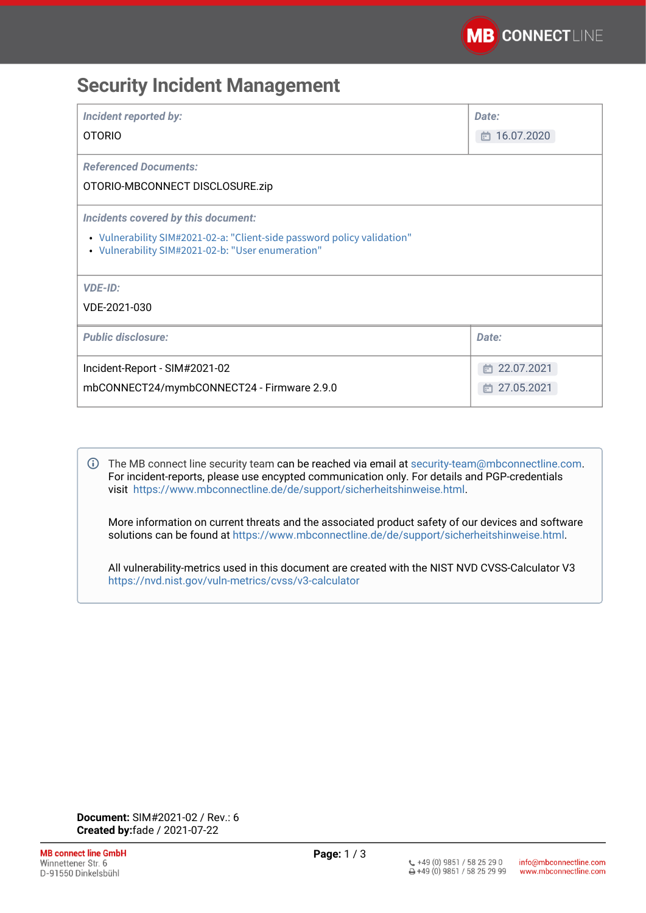# **Security Incident Management**

| <b>Incident reported by:</b>                                                                                                 | Date:        |
|------------------------------------------------------------------------------------------------------------------------------|--------------|
| <b>OTORIO</b>                                                                                                                | □ 16.07.2020 |
| <b>Referenced Documents:</b>                                                                                                 |              |
| OTORIO-MBCONNECT DISCLOSURE.zip                                                                                              |              |
| Incidents covered by this document:                                                                                          |              |
| • Vulnerability SIM#2021-02-a: "Client-side password policy validation"<br>• Vulnerability SIM#2021-02-b: "User enumeration" |              |
| <b>VDE-ID:</b>                                                                                                               |              |
| VDE-2021-030                                                                                                                 |              |
| <b>Public disclosure:</b>                                                                                                    | Date:        |
| Incident-Report - SIM#2021-02                                                                                                | □ 22.07.2021 |
| mbCONNECT24/mymbCONNECT24 - Firmware 2.9.0                                                                                   | 卣 27.05.2021 |

The MB connect line security team can be reached via email at [security-team@mbconnectline.com](mailto:security-team@mbconnectline.com). For incident-reports, please use encypted communication only. For details and PGP-credentials visit [https://www.mbconnectline.de/de/support/sicherheitshinweise.html.](https://www.mbconnectline.de/de/support/sicherheitshinweise.html)

More information on current threats and the associated product safety of our devices and software solutions can be found at <https://www.mbconnectline.de/de/support/sicherheitshinweise.html>.

All vulnerability-metrics used in this document are created with the NIST NVD CVSS-Calculator V3 <https://nvd.nist.gov/vuln-metrics/cvss/v3-calculator>

**Document:** SIM#2021-02 / Rev.: 6 **Created by:**fade / 2021-07-22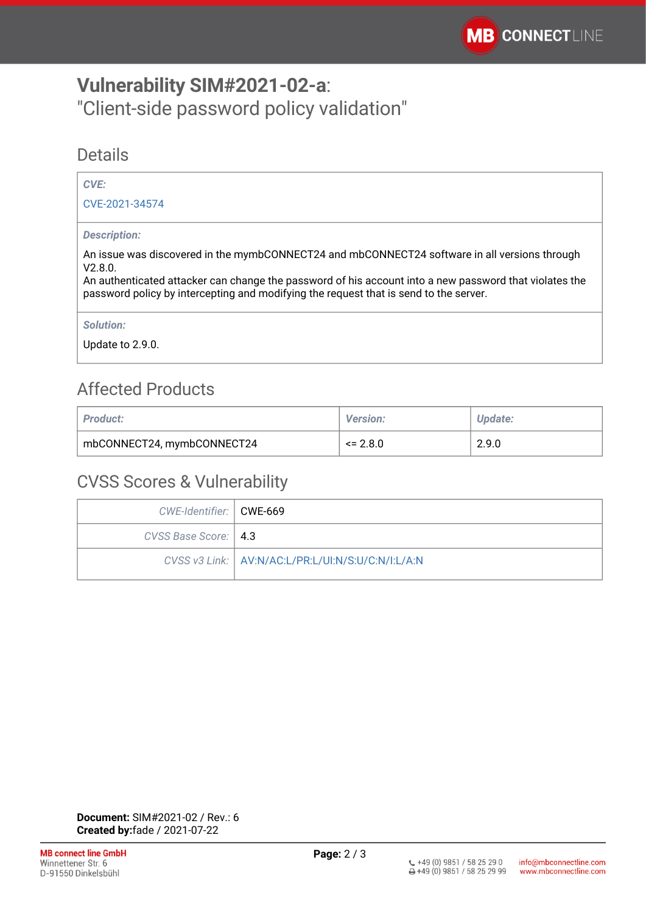# <span id="page-1-0"></span>**Vulnerability SIM#2021-02-a**: "Client-side password policy validation"

### Details

#### *CVE:*

[CVE-2021-34574](https://cve.mitre.org/cgi-bin/cvename.cgi?name=CVE-2021-34574)

#### *Description:*

An issue was discovered in the mymbCONNECT24 and mbCONNECT24 software in all versions through V2.8.0.

An authenticated attacker can change the password of his account into a new password that violates the password policy by intercepting and modifying the request that is send to the server.

*Solution:* 

Update to 2.9.0.

# Affected Products

| Product:                   | <b>Version:</b> | Update: |
|----------------------------|-----------------|---------|
| mbCONNECT24, mymbCONNECT24 | $\leq$ 2.8.0    | 2.9.0   |

### CVSS Scores & Vulnerability

| CWE-Identifier:   CWE-669 |                                                     |
|---------------------------|-----------------------------------------------------|
| CVSS Base Score:   4.3    |                                                     |
|                           | CVSS v3 Link:   AV:N/AC:L/PR:L/UI:N/S:U/C:N/I:L/A:N |